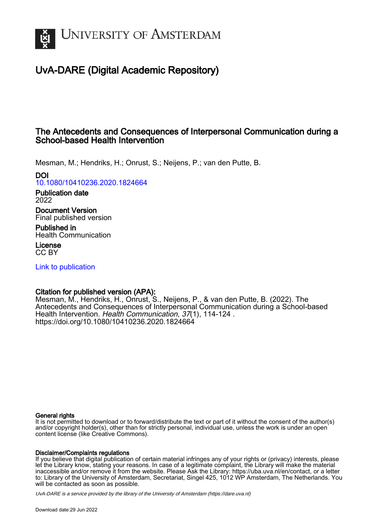

# UvA-DARE (Digital Academic Repository)

## The Antecedents and Consequences of Interpersonal Communication during a School-based Health Intervention

Mesman, M.; Hendriks, H.; Onrust, S.; Neijens, P.; van den Putte, B.

## DOI

[10.1080/10410236.2020.1824664](https://doi.org/10.1080/10410236.2020.1824664)

Publication date 2022

Document Version Final published version

Published in Health Communication

License CC BY

[Link to publication](https://dare.uva.nl/personal/pure/en/publications/the-antecedents-and-consequences-of-interpersonal-communication-during-a-schoolbased-health-intervention(ff9ed48b-4afb-49ac-aa37-33c50eac6360).html)

## Citation for published version (APA):

Mesman, M., Hendriks, H., Onrust, S., Neijens, P., & van den Putte, B. (2022). The Antecedents and Consequences of Interpersonal Communication during a School-based Health Intervention. Health Communication, 37(1), 114-124 . <https://doi.org/10.1080/10410236.2020.1824664>

## General rights

It is not permitted to download or to forward/distribute the text or part of it without the consent of the author(s) and/or copyright holder(s), other than for strictly personal, individual use, unless the work is under an open content license (like Creative Commons).

## Disclaimer/Complaints regulations

If you believe that digital publication of certain material infringes any of your rights or (privacy) interests, please let the Library know, stating your reasons. In case of a legitimate complaint, the Library will make the material inaccessible and/or remove it from the website. Please Ask the Library: https://uba.uva.nl/en/contact, or a letter to: Library of the University of Amsterdam, Secretariat, Singel 425, 1012 WP Amsterdam, The Netherlands. You will be contacted as soon as possible.

UvA-DARE is a service provided by the library of the University of Amsterdam (http*s*://dare.uva.nl)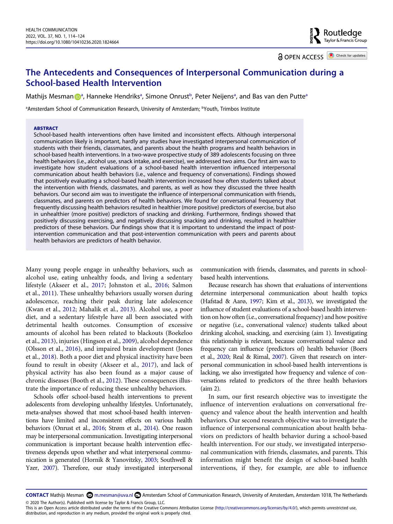Routledge<br>Taylor & Francis Group

**a** OPEN ACCESS **a** Check for updates

## **The Antecedents and Consequences of Interpersonal Communication during a School-based Health Intervention**

Mathijs Mesma[n](http://orcid.org/0000-0002-9229-766X) D<sup>[a](#page-1-0)</sup>, Hanneke Hendriks<sup>a</sup>, Simone Onrust<sup>b</sup>, Peter Neijens<sup>a</sup>, and Bas van den Putte<sup>a</sup>

<span id="page-1-0"></span>ªAmsterdam School of Communication Research, University of Amsterdam; <sup>b</sup>Youth, Trimbos Institute

#### **ABSTRACT**

School-based health interventions often have limited and inconsistent effects. Although interpersonal communication likely is important, hardly any studies have investigated interpersonal communication of students with their friends, classmates, and parents about the health programs and health behaviors in school-based health interventions. In a two-wave prospective study of 389 adolescents focusing on three health behaviors (i.e., alcohol use, snack intake, and exercise), we addressed two aims. Our first aim was to investigate how student evaluations of a school-based health intervention influenced interpersonal communication about health behaviors (i.e., valence and frequency of conversations). Findings showed that positively evaluating a school-based health intervention increased how often students talked about the intervention with friends, classmates, and parents, as well as how they discussed the three health behaviors. Our second aim was to investigate the influence of interpersonal communication with friends, classmates, and parents on predictors of health behaviors. We found for conversational frequency that frequently discussing health behaviors resulted in healthier (more positive) predictors of exercise, but also in unhealthier (more positive) predictors of snacking and drinking. Furthermore, findings showed that positively discussing exercising, and negatively discussing snacking and drinking, resulted in healthier predictors of these behaviors. Our findings show that it is important to understand the impact of postintervention communication and that post-intervention communication with peers and parents about health behaviors are predictors of health behavior.

<span id="page-1-12"></span><span id="page-1-9"></span><span id="page-1-7"></span>Many young people engage in unhealthy behaviors, such as alcohol use, eating unhealthy foods, and living a sedentary lifestyle (Akseer et al., [2017;](#page-9-0) Johnston et al., [2016;](#page-10-0) Salmon et al., [2011](#page-10-1)). These unhealthy behaviors usually worsen during adolescence, reaching their peak during late adolescence (Kwan et al., [2012;](#page-10-2) Mahalik et al., [2013\)](#page-10-3). Alcohol use, a poor diet, and a sedentary lifestyle have all been associated with detrimental health outcomes. Consumption of excessive amounts of alcohol has been related to blackouts (Boekeloo et al., [2013](#page-9-1)), injuries (Hingson et al., [2009\)](#page-10-4), alcohol dependence (Olsson et al., [2016](#page-10-5)), and impaired brain development (Jones et al., [2018\)](#page-10-6). Both a poor diet and physical inactivity have been found to result in obesity (Akseer et al., [2017](#page-9-0)), and lack of physical activity has also been found as a major cause of chronic diseases (Booth et al., [2012](#page-9-2)). These consequences illustrate the importance of reducing these unhealthy behaviors.

<span id="page-1-11"></span><span id="page-1-10"></span><span id="page-1-8"></span><span id="page-1-4"></span><span id="page-1-2"></span><span id="page-1-1"></span>Schools offer school-based health interventions to prevent adolescents from developing unhealthy lifestyles. Unfortunately, meta-analyses showed that most school-based health interventions have limited and inconsistent effects on various health behaviors (Onrust et al., [2016](#page-10-7); Strøm et al., [2014\)](#page-10-8). One reason may be interpersonal communication. Investigating interpersonal communication is important because health intervention effectiveness depends upon whether and what interpersonal communication is generated (Hornik & Yanovitzky, [2003](#page-10-9); Southwell & Yzer, [2007](#page-10-10)). Therefore, our study investigated interpersonal

communication with friends, classmates, and parents in schoolbased health interventions.

<span id="page-1-5"></span>Because research has shown that evaluations of interventions determine interpersonal communication about health topics (Hafstad & Aarø, [1997;](#page-9-3) Kim et al., [2013](#page-10-11)), we investigated the influence of student evaluations of a school-based health intervention on how often (i.e., conversational frequency) and how positive or negative (i.e., conversational valence) students talked about drinking alcohol, snacking, and exercising (aim 1). Investigating this relationship is relevant, because conversational valence and frequency can influence (predictors of) health behavior (Boers et al., [2020](#page-9-4); Real & Rimal, [2007\)](#page-10-12). Given that research on interpersonal communication in school-based health interventions is lacking, we also investigated how frequency and valence of conversations related to predictors of the three health behaviors (aim 2).

<span id="page-1-3"></span>In sum, our first research objective was to investigate the influence of intervention evaluations on conversational frequency and valence about the health intervention and health behaviors. Our second research objective was to investigate the influence of interpersonal communication about health behaviors on predictors of health behavior during a school-based health intervention. For our study, we investigated interpersonal communication with friends, classmates, and parents. This information might benefit the design of school-based health interventions, if they, for example, are able to influence

<span id="page-1-13"></span><span id="page-1-6"></span>CONTACT Mathijs Mesman **۞** m.mesman@uva.nl **■** Amsterdam School of Communication Research, University of Amsterdam, Amsterdam 1018, The Netherlands © 2020 The Author(s). Published with license by Taylor & Francis Group, LLC.

This is an Open Access article distributed under the terms of the Creative Commons Attribution License (http://creativecommons.org/licenses/by/4.0/), which permits unrestricted use, distribution, and reproduction in any medium, provided the original work is properly cited.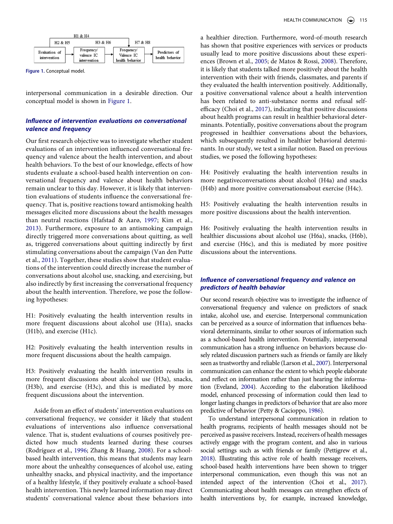<span id="page-2-0"></span>

**Figure 1.** Conceptual model.

interpersonal communication in a desirable direction. Our conceptual model is shown in [Figure 1.](#page-2-0)

## *Influence of intervention evaluations on conversational valence and frequency*

Our first research objective was to investigate whether student evaluations of an intervention influenced conversational frequency and valence about the health intervention, and about health behaviors. To the best of our knowledge, effects of how students evaluate a school-based health intervention on conversational frequency and valence about health behaviors remain unclear to this day. However, it is likely that intervention evaluations of students influence the conversational frequency. That is, positive reactions toward antismoking health messages elicited more discussions about the health messages than neutral reactions (Hafstad & Aarø, [1997;](#page-9-3) Kim et al., [2013\)](#page-10-11). Furthermore, exposure to an antismoking campaign directly triggered more conversations about quitting, as well as, triggered conversations about quitting indirectly by first stimulating conversations about the campaign (Van den Putte et al., [2011](#page-11-0)). Together, these studies show that student evaluations of the intervention could directly increase the number of conversations about alcohol use, snacking, and exercising, but also indirectly by first increasing the conversational frequency about the health intervention. Therefore, we pose the following hypotheses:

<span id="page-2-8"></span>H1: Positively evaluating the health intervention results in more frequent discussions about alcohol use (H1a), snacks (H1b), and exercise (H1c).

H2: Positively evaluating the health intervention results in more frequent discussions about the health campaign.

H3: Positively evaluating the health intervention results in more frequent discussions about alcohol use (H3a), snacks, (H3b), and exercise (H3c), and this is mediated by more frequent discussions about the intervention.

<span id="page-2-7"></span>Aside from an effect of students' intervention evaluations on conversational frequency, we consider it likely that student evaluations of interventions also influence conversational valence. That is, student evaluations of courses positively predicted how much students learned during these courses (Rodríguez et al., [1996](#page-10-13); Zhang & Huang, [2008\)](#page-11-1). For a schoolbased health intervention, this means that students may learn more about the unhealthy consequences of alcohol use, eating unhealthy snacks, and physical inactivity, and the importance of a healthy lifestyle, if they positively evaluate a school-based health intervention. This newly learned information may direct students' conversational valence about these behaviors into

<span id="page-2-1"></span>a healthier direction. Furthermore, word-of-mouth research has shown that positive experiences with services or products usually lead to more positive discussions about these experiences (Brown et al., [2005](#page-9-5); de Matos & Rossi, [2008\)](#page-9-6). Therefore, it is likely that students talked more positively about the health intervention with their with friends, classmates, and parents if they evaluated the health intervention positively. Additionally, a positive conversational valence about a health intervention has been related to anti-substance norms and refusal selfefficacy (Choi et al., [2017\)](#page-9-7), indicating that positive discussions about health programs can result in healthier behavioral determinants. Potentially, positive conversations about the program progressed in healthier conversations about the behaviors, which subsequently resulted in healthier behavioral determinants. In our study, we test a similar notion. Based on previous studies, we posed the following hypotheses:

H4: Positively evaluating the health intervention results in more negativeconversations about alcohol (H4a) and snacks (H4b) and more positive conversationsabout exercise (H4c).

H5: Positively evaluating the health intervention results in more positive discussions about the health intervention.

H6: Positively evaluating the health intervention results in healthier discussions about alcohol use (H6a), snacks, (H6b), and exercise (H6c), and this is mediated by more positive discussions about the interventions.

## *Influence of conversational frequency and valence on predictors of health behavior*

Our second research objective was to investigate the influence of conversational frequency and valence on predictors of snack intake, alcohol use, and exercise. Interpersonal communication can be perceived as a source of information that influences behavioral determinants, similar to other sources of information such as a school-based health intervention. Potentially, interpersonal communication has a strong influence on behaviors because closely related discussion partners such as friends or family are likely seen as trustworthy and reliable (Larson et al., [2007\)](#page-10-14). Interpersonal communication can enhance the extent to which people elaborate and reflect on information rather than just hearing the information (Eveland, [2004\)](#page-9-8). According to the elaboration likelihood model, enhanced processing of information could then lead to longer lasting changes in predictors of behavior that are also more predictive of behavior (Petty & Cacioppo, [1986](#page-10-15)).

<span id="page-2-6"></span><span id="page-2-5"></span><span id="page-2-4"></span><span id="page-2-3"></span><span id="page-2-2"></span>To understand interpersonal communication in relation to health programs, recipients of health messages should not be perceived as passive receivers. Instead, receivers of health messages actively engage with the program content, and also in various social settings such as with friends or family (Pettigrew et al., [2018](#page-10-16)). Illustrating this active role of health message receivers, school-based health interventions have been shown to trigger interpersonal communication, even though this was not an intended aspect of the intervention (Choi et al., [2017](#page-9-7)). Communicating about health messages can strengthen effects of health interventions by, for example, increased knowledge,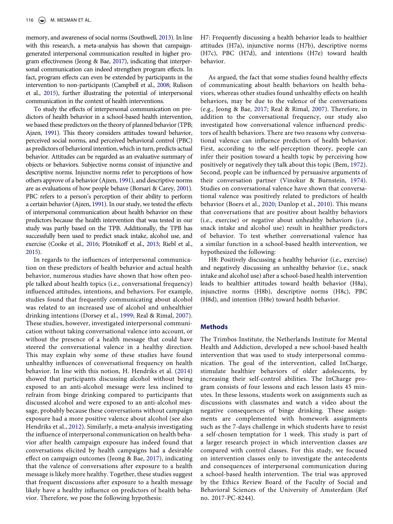<span id="page-3-11"></span>memory, and awareness of social norms (Southwell, [2013](#page-10-17)). In line with this research, a meta-analysis has shown that campaigngenerated interpersonal communication resulted in higher program effectiveness (Jeong & Bae, [2017\)](#page-10-18), indicating that interpersonal communication can indeed strengthen program effects. In fact, program effects can even be extended by participants in the intervention to non-participants (Campbell et al., [2008;](#page-9-9) Rulison et al., [2015](#page-10-19)), further illustrating the potential of interpersonal communication in the context of health interventions.

<span id="page-3-10"></span><span id="page-3-3"></span>To study the effects of interpersonal communication on predictors of health behavior in a school-based health intervention, we based these predictors on the theory of planned behavior (TPB; Ajzen, [1991](#page-9-10)). This theory considers attitudes toward behavior, perceived social norms, and perceived behavioral control (PBC) as predictors of behavioral intention, which in turn, predicts actual behavior. Attitudes can be regarded as an evaluative summary of objects or behaviors. Subjective norms consist of injunctive and descriptive norms. Injunctive norms refer to perceptions of how others approve of a behavior (Ajzen, [1991](#page-9-10)), and descriptive norms are as evaluations of how people behave (Borsari & Carey, [2001](#page-9-11)). PBC refers to a person's perception of their ability to perform a certain behavior (Ajzen, [1991](#page-9-10)). In our study, we tested the effects of interpersonal communication about health behavior on these predictors because the health intervention that was tested in our study was partly based on the TPB. Additionally, the TPB has successfully been used to predict snack intake, alcohol use, and exercise (Cooke et al., [2016;](#page-9-12) Plotnikoff et al., [2013](#page-10-20); Riebl et al., [2015](#page-10-21)).

<span id="page-3-8"></span><span id="page-3-7"></span><span id="page-3-5"></span><span id="page-3-4"></span><span id="page-3-2"></span><span id="page-3-0"></span>In regards to the influences of interpersonal communication on these predictors of health behavior and actual health behavior, numerous studies have shown that how often people talked about health topics (i.e., conversational frequency) influenced attitudes, intentions, and behaviors. For example, studies found that frequently communicating about alcohol was related to an increased use of alcohol and unhealthier drinking intentions (Dorsey et al., [1999](#page-9-13); Real & Rimal, [2007](#page-10-12)). These studies, however, investigated interpersonal communication without taking conversational valence into account, or without the presence of a health message that could have steered the conversational valence in a healthy direction. This may explain why some of these studies have found unhealthy influences of conversational frequency on health behavior. In line with this notion, H. Hendriks et al. ([2014\)](#page-10-22) showed that participants discussing alcohol without being exposed to an anti-alcohol message were less inclined to refrain from binge drinking compared to participants that discussed alcohol and were exposed to an anti-alcohol message, probably because these conversations without campaign exposure had a more positive valence about alcohol (see also Hendriks et al., [2012](#page-10-23)). Similarly, a meta-analysis investigating the influence of interpersonal communication on health behavior after health campaign exposure has indeed found that conversations elicited by health campaigns had a desirable effect on campaign outcomes (Jeong & Bae, [2017\)](#page-10-18), indicating that the valence of conversations after exposure to a health message is likely more healthy. Together, these studies suggest that frequent discussions after exposure to a health message likely have a healthy influence on predictors of health behavior. Therefore, we pose the following hypothesis:

H7: Frequently discussing a health behavior leads to healthier attitudes (H7a), injunctive norms (H7b), descriptive norms (H7c), PBC (H7d), and intentions (H7e) toward health behavior.

<span id="page-3-9"></span><span id="page-3-1"></span>As argued, the fact that some studies found healthy effects of communicating about health behaviors on health behaviors, whereas other studies found unhealthy effects on health behaviors, may be due to the valence of the conversations (e.g., Jeong & Bae, [2017;](#page-10-18) Real & Rimal, [2007](#page-10-12)). Therefore, in addition to the conversational frequency, our study also investigated how conversational valence influenced predictors of health behaviors. There are two reasons why conversational valence can influence predictors of health behavior. First, according to the self-perception theory, people can infer their position toward a health topic by perceiving how positively or negatively they talk about this topic (Bem, [1972](#page-9-14)). Second, people can be influenced by persuasive arguments of their conversation partner (Vinokur & Burnstein, [1974](#page-11-2)). Studies on conversational valence have shown that conversational valence was positively related to predictors of health behavior (Boers et al., [2020](#page-9-4); Dunlop et al., [2010](#page-9-15)). This means that conversations that are positive about healthy behaviors (i.e., exercise) or negative about unhealthy behaviors (i.e., snack intake and alcohol use) result in healthier predictors of behavior. To test whether conversational valence has a similar function in a school-based health intervention, we hypothesized the following:

<span id="page-3-12"></span><span id="page-3-6"></span>H8: Positively discussing a healthy behavior (i.e., exercise) and negatively discussing an unhealthy behavior (i.e., snack intake and alcohol use) after a school-based health intervention leads to healthier attitudes toward health behavior (H8a), injunctive norms (H8b), descriptive norms (H8c), PBC (H8d), and intention (H8e) toward health behavior.

## **Methods**

The Trimbos Institute, the Netherlands Institute for Mental Health and Addiction, developed a new school-based health intervention that was used to study interpersonal communication. The goal of the intervention, called InCharge, stimulate healthier behaviors of older adolescents, by increasing their self-control abilities. The InCharge program consists of four lessons and each lesson lasts 45 minutes. In these lessons, students work on assignments such as discussions with classmates and watch a video about the negative consequences of binge drinking. These assignments are complemented with homework assignments such as the 7-days challenge in which students have to resist a self-chosen temptation for 1 week. This study is part of a larger research project in which intervention classes are compared with control classes. For this study, we focused on intervention classes only to investigate the antecedents and consequences of interpersonal communication during a school-based health intervention. The trial was approved by the Ethics Review Board of the Faculty of Social and Behavioral Sciences of the University of Amsterdam (Ref no. 2017-PC-8244).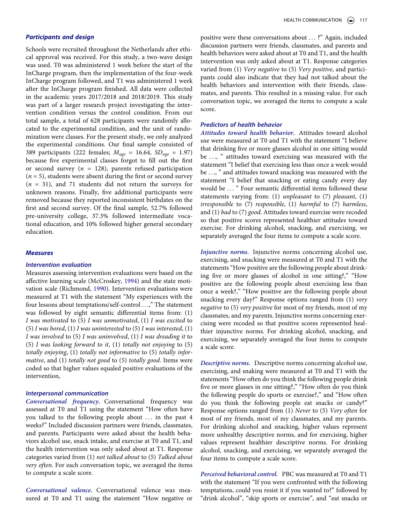## *Participants and design*

Schools were recruited throughout the Netherlands after ethical approval was received. For this study, a two-wave design was used. T0 was administered 1 week before the start of the InCharge program, then the implementation of the four-week InCharge program followed, and T1 was administered 1 week after the InCharge program finished. All data were collected in the academic years 2017/2018 and 2018/2019. This study was part of a larger research project investigating the intervention condition versus the control condition. From our total sample, a total of 628 participants were randomly allocated to the experimental condition, and the unit of randomization were classes. For the present study, we only analyzed the experimental conditions. Our final sample consisted of 389 participants (222 females; *Mage* = 16.64, *SDage* = 1.97) because five experimental classes forgot to fill out the first or second survey (*n =* 128), parents refused participation  $(n = 5)$ , students were absent during the first or second survey (*n* = 31), and 71 students did not return the surveys for unknown reasons. Finally, five additional participants were removed because they reported inconsistent birthdates on the first and second survey. Of the final sample, 52.7% followed pre-university college, 37.3% followed intermediate vocational education, and 10% followed higher general secondary education.

#### *Measures*

#### *Intervention evaluation*

<span id="page-4-1"></span><span id="page-4-0"></span>Measures assessing intervention evaluations were based on the affective learning scale (McCroskey, [1994](#page-10-24)) and the state motivation scale (Richmond, [1990](#page-10-25)). Intervention evaluations were measured at T1 with the statement "My experiences with the four lessons about temptations/self-control . . .," The statement was followed by eight semantic differential items from: (1) *I was motivated* to (5) *I was unmotivated*, (1) *I was excited* to (5) *I was bored*, (1) *I was uninterested* to (5) *I was interested*, (1) *I was involved* to (5) *I was uninvolved*, (1) *I was dreading it* to (5) *I was looking forward to it*, (1) *totally not enjoying* to (5) *totally enjoying*, (1) *totally not informative* to (5) *totally informative*, and (1) *totally not good* to (5) *totally good*. Items were coded so that higher values equaled positive evaluations of the intervention,

### *Interpersonal communication*

*Conversational frequency.* Conversational frequency was assessed at T0 and T1 using the statement "How often have you talked to the following people about ... in the past 4 weeks?" Included discussion partners were friends, classmates, and parents. Participants were asked about the health behaviors alcohol use, snack intake, and exercise at T0 and T1, and the health intervention was only asked about at T1. Response categories varied from (1) *not talked about* to (5) *Talked about very often*. For each conversation topic, we averaged the items to compute a scale score.

*Conversational valence.* Conversational valence was measured at T0 and T1 using the statement "How negative or positive were these conversations about ...?" Again, included discussion partners were friends, classmates, and parents and health behaviors were asked about at T0 and T1, and the health intervention was only asked about at T1. Response categories varied from (1) *Very negative* to (5) *Very positive*, and participants could also indicate that they had not talked about the health behaviors and intervention with their friends, classmates, and parents. This resulted in a missing value. For each conversation topic, we averaged the items to compute a scale score.

## *Predictors of health behavior*

*Attitudes toward health behavior.* Attitudes toward alcohol use were measured at T0 and T1 with the statement "I believe that drinking five or more glasses alcohol in one sitting would be . . ., " attitudes toward exercising was measured with the statement "I belief that exercising less than once a week would be . . ., " and attitudes toward snacking was measured with the statement "I belief that snacking or eating candy every day would be . . . " Four semantic differential items followed these statements varying from: (1) *unpleasant* to (7) *pleasant*, (1) *irresponsible* to (7) *responsible*, (1) *harmful* to (7) *harmless*, and (1) *bad* to (7) *good*. Attitudes toward exercise were recoded so that positive scores represented healthier attitudes toward exercise. For drinking alcohol, snacking, and exercising, we separately averaged the four items to compute a scale score.

*Injunctive norms.* Injunctive norms concerning alcohol use, exercising, and snacking were measured at T0 and T1 with the statements "How positive are the following people about drinking five or more glasses of alcohol in one sitting?," "How positive are the following people about exercising less than once a week?," "How positive are the following people about snacking every day?" Response options ranged from (1) *very negative* to (5) *very positive* for most of my friends, most of my classmates, and my parents. Injunctive norms concerning exercising were recoded so that positive scores represented healthier injunctive norms. For drinking alcohol, snacking, and exercising, we separately averaged the four items to compute a scale score.

*Descriptive norms.* Descriptive norms concerning alcohol use, exercising, and snaking were measured at T0 and T1 with the statements "How often do you think the following people drink five or more glasses in one sitting?," "How often do you think the following people do sports or exercise?," and "How often do you think the following people eat snacks or candy?" Response options ranged from (1) *Never* to (5) *Very often* for most of my friends, most of my classmates, and my parents. For drinking alcohol and snacking, higher values represent more unhealthy descriptive norms, and for exercising, higher values represent healthier descriptive norms. For drinking alcohol, snacking, and exercising, we separately averaged the four items to compute a scale score.

*Perceived behavioral control.* PBC was measured at T0 and T1 with the statement "If you were confronted with the following temptations, could you resist it if you wanted to?" followed by "drink alcohol", "skip sports or exercise", and "eat snacks or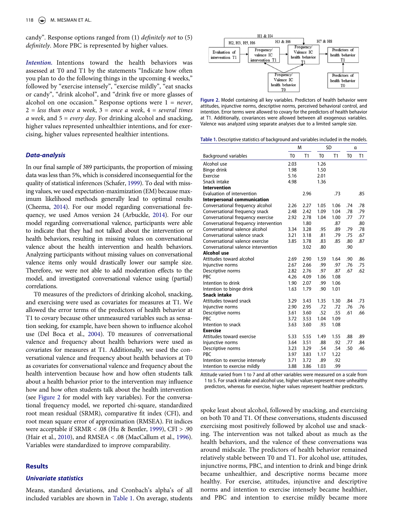candy". Response options ranged from (1) *definitely not* to (5) *definitely*. More PBC is represented by higher values.

*Intention.* Intentions toward the health behaviors was assessed at T0 and T1 by the statements "Indicate how often you plan to do the following things in the upcoming 4 weeks," followed by "exercise intensely", "exercise mildly", "eat snacks or candy", "drink alcohol", and "drink five or more glasses of alcohol on one occasion." Response options were 1 = *never*, 2 = *less than once a week*, 3 = *once a week*, 4 = *several times a week*, and 5 = *every day*. For drinking alcohol and snacking, higher values represented unhealthier intentions, and for exercising, higher values represented healthier intentions.

#### *Data-analysis*

<span id="page-5-7"></span><span id="page-5-3"></span><span id="page-5-2"></span>In our final sample of 389 participants, the proportion of missing data was less than 5%, which is considered inconsequential for the quality of statistical inferences (Schafer, [1999](#page-10-26)). To deal with missing values, we used expectation-maximization (EM) because maximum likelihood methods generally lead to optimal results (Cheema, [2014](#page-9-16)). For our model regarding conversational frequency, we used Amos version 24 (Arbuckle, [2014](#page-9-17)). For our model regarding conversational valence, participants were able to indicate that they had not talked about the intervention or health behaviors, resulting in missing values on conversational valence about the health intervention and health behaviors. Analyzing participants without missing values on conversational valence items only would drastically lower our sample size. Therefore, we were not able to add moderation effects to the model, and investigated conversational valence using (partial) correlations.

<span id="page-5-4"></span>T0 measures of the predictors of drinking alcohol, snacking, and exercising were used as covariates for measures at T1. We allowed the error terms of the predictors of health behavior at T1 to covary because other unmeasured variables such as sensation seeking, for example, have been shown to influence alcohol use (Del Boca et al., [2004\)](#page-9-18). T0 measures of conversational valence and frequency about health behaviors were used as covariates for measures at T1. Additionally, we used the conversational valence and frequency about health behaviors at T0 as covariates for conversational valence and frequency about the health intervention because how and how often students talk about a health behavior prior to the intervention may influence how and how often students talk about the health intervention (see [Figure 2](#page-5-0) for model with key variables). For the conversational frequency model, we reported chi-square, standardized root mean residual (SRMR), comparative fit index (CFI), and root mean square error of approximation (RMSEA). Fit indices were acceptable if SRMR < .08 (Hu & Bentler, [1999\)](#page-10-27), CFI > .90 (Hair et al., [2010](#page-10-28)), and RMSEA < .08 (MacCallum et al., [1996](#page-10-29)). Variables were standardized to improve comparability.

#### <span id="page-5-6"></span><span id="page-5-5"></span>**Results**

#### *Univariate statistics*

Means, standard deviations, and Cronbach's alpha's of all included variables are shown in [Table 1.](#page-5-1) On average, students

<span id="page-5-0"></span>

**Figure 2.** Model containing all key variables. Predictors of health behavior were attitudes, injunctive norms, descriptive norms, perceived behavioral control, and intention. Error terms were allowed to covary for the predictors of health behavior at T1. Additionally, covariances were allowed between all exogenous variables. Valence was analyzed using separate analyses due to a limited sample size.

<span id="page-5-1"></span>**Table 1.** Descriptive statistics of background and variables included in the models.

|                                       |                | M    |                | SD   |                | α   |  |
|---------------------------------------|----------------|------|----------------|------|----------------|-----|--|
| Background variables                  | T <sub>0</sub> | T1   | T <sub>0</sub> | T1   | T <sub>0</sub> | T1  |  |
| Alcohol use                           | 2.03           |      | 1.26           |      |                |     |  |
| Binge drink                           | 1.98           |      | 1.50           |      |                |     |  |
| Exercise                              | 5.16           |      | 2.01           |      |                |     |  |
| Snack intake                          | 4.98           |      | 1.36           |      |                |     |  |
| <b>Intervention</b>                   |                |      |                |      |                |     |  |
| Evaluation of intervention            |                | 2.96 |                | .73  |                | .85 |  |
| Interpersonal communication           |                |      |                |      |                |     |  |
| Conversational frequency alcohol      | 2.26           | 2.27 | 1.05           | 1.06 | .74            | .78 |  |
| Conversational frequency snack        | 2.48           | 2.42 | 1.09           | 1.04 | .78            | .79 |  |
| Conversational frequency exercise     | 2.92           | 2.78 | 1.04           | 1.00 | .77            | .77 |  |
| Conversational frequency intervention |                | 1.80 |                | .87  |                | .80 |  |
| Conversational valence alcohol        | 3.34           | 3.28 | .95            | .89  | .79            | .78 |  |
| Conversational valence snack          | 3.21           | 3.18 | .81            | .79  | .75            | .67 |  |
| Conversational valence exercise       | 3.85           | 3.78 | .83            | .85  | .80            | .87 |  |
| Conversational valence intervention   |                | 3.02 | .80            |      | .90            |     |  |
| Alcohol use                           |                |      |                |      |                |     |  |
| Attitudes toward alcohol              | 2.69           | 2.90 | 1.59           | 1.64 | .90            | .86 |  |
| Injunctive norms                      | 2.67           | 2.66 | .99            | .97  | .76            | .75 |  |
| Descriptive norms                     | 2.82           | 2.76 | .97            | .87  | .67            | .62 |  |
| PBC                                   | 4.26           | 4.09 | 1.06           | 1.08 |                |     |  |
| Intention to drink                    | 1.90           | 2.07 | .99            | 1.06 |                |     |  |
| Intention to binge drink              | 1.63           | 1.79 | .90            | 1.01 |                |     |  |
| <b>Snack intake</b>                   |                |      |                |      |                |     |  |
| Attitudes toward snack                | 3.29           | 3.43 | 1.35           | 1.30 | .84            | .73 |  |
| Injunctive norms                      | 2.90           | 2.95 | .72            | .72  | .76            | .76 |  |
| Descriptive norms                     | 3.61           | 3.60 | .52            | .55  | .61            | .66 |  |
| PBC                                   | 3.72           | 3.53 | 1.04           | 1.09 |                |     |  |
| Intention to snack                    | 3.63           | 3.60 | .93            | 1.08 |                |     |  |
| <b>Exercise</b>                       |                |      |                |      |                |     |  |
| Attitudes toward exercise             | 5.33           | 5.55 | 1.49           | 1.55 | .88            | .89 |  |
| Injunctive norms                      | 3.64           | 3.51 | .88            | .92  | .77            | .84 |  |
| Descriptive norms                     | 3.23           | 3.29 | .54            | .54  | .50            | .46 |  |
| PBC                                   | 3.97           | 3.83 | 1.17           | 1.22 |                |     |  |
| Intention to exercise intensely       | 3.71           | 3.72 | .89            | .92  |                |     |  |
| Intention to exercise mildly          | 3.88           | 3.86 | 1.03           | .99  |                |     |  |

Attitude varied from 1 to 7 and all other variables were measured on a scale from 1 to 5. For snack intake and alcohol use, higher values represent more unhealthy predictors, whereas for exercise, higher values represent healthier predictors.

spoke least about alcohol, followed by snacking, and exercising on both T0 and T1. Of these conversations, students discussed exercising most positively followed by alcohol use and snacking. The intervention was not talked about as much as the health behaviors, and the valence of these conversations was around midscale. The predictors of health behavior remained relatively stable between T0 and T1. For alcohol use, attitudes, injunctive norms, PBC, and intention to drink and binge drink became unhealthier, and descriptive norms became more healthy. For exercise, attitudes, injunctive and descriptive norms and intention to exercise intensely became healthier, and PBC and intention to exercise mildly became more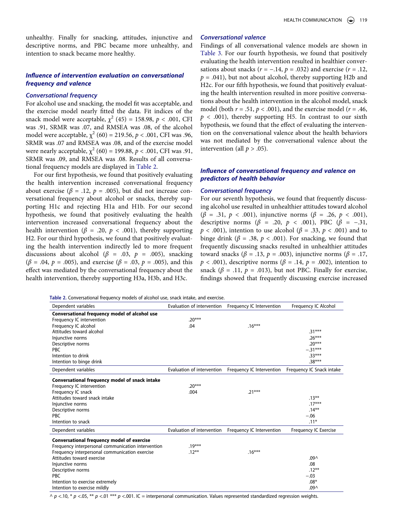unhealthy. Finally for snacking, attitudes, injunctive and descriptive norms, and PBC became more unhealthy, and intention to snack became more healthy.

## *Influence of intervention evaluation on conversational frequency and valence*

#### *Conversational frequency*

For alcohol use and snacking, the model fit was acceptable, and the exercise model nearly fitted the data. Fit indices of the snack model were acceptable,  $\chi^2$  (45) = 158.98,  $p < .001$ , CFI was .91, SRMR was .07, and RMSEA was .08, of the alcohol model were acceptable,  $\chi^2$  (60) = 219.56,  $p < .001$ , CFI was .96, SRMR was .07 and RMSEA was .08, and of the exercise model were nearly acceptable,  $\chi^2$  (60) = 199.88,  $p < .001$ , CFI was .91, SRMR was .09, and RMSEA was .08. Results of all conversational frequency models are displayed in [Table 2](#page-6-0).

For our first hypothesis, we found that positively evaluating the health intervention increased conversational frequency about exercise ( $\beta$  = .12,  $p$  = .005), but did not increase conversational frequency about alcohol or snacks, thereby supporting H1c and rejecting H1a and H1b. For our second hypothesis, we found that positively evaluating the health intervention increased conversational frequency about the health intervention ( $\beta$  = .20,  $p$  < .001), thereby supporting H2. For our third hypothesis, we found that positively evaluating the health intervention indirectly led to more frequent discussions about alcohol ( $\beta$  = .03,  $p$  = .005), snacking (*β* = .04, *p* = .005), and exercise (*β* = .03, *p* = .005), and this effect was mediated by the conversational frequency about the health intervention, thereby supporting H3a, H3b, and H3c.

#### *Conversational valence*

Findings of all conversational valence models are shown in [Table 3](#page-7-0). For our fourth hypothesis, we found that positively evaluating the health intervention resulted in healthier conversations about snacks ( $r = -.14$ ,  $p = .032$ ) and exercise ( $r = .12$ ,  $p = .041$ ), but not about alcohol, thereby supporting H2b and H2c. For our fifth hypothesis, we found that positively evaluating the health intervention resulted in more positive conversations about the health intervention in the alcohol model, snack model (both  $r = .51$ ,  $p < .001$ ), and the exercise model ( $r = .46$ ,  $p < .001$ ), thereby supporting H5. In contrast to our sixth hypothesis, we found that the effect of evaluating the intervention on the conversational valence about the health behaviors was not mediated by the conversational valence about the intervention (all  $p > .05$ ).

## *Influence of conversational frequency and valence on predictors of health behavior*

#### *Conversational frequency*

For our seventh hypothesis, we found that frequently discussing alcohol use resulted in unhealthier attitudes toward alcohol (*β* = .31, *p* < .001), injunctive norms (*β* = .26, *p* < .001), descriptive norms ( $\beta$  = .20,  $p$  < .001), PBC ( $\beta$  = -.31, *p* < .001), intention to use alcohol (*β* = .33, *p* < .001) and to binge drink ( $\beta$  = .38,  $p < .001$ ). For snacking, we found that frequently discussing snacks resulted in unhealthier attitudes toward snacks (*β* = .13, *p* = .003), injunctive norms (*β* = .17, *), descriptive norms (* $*β* = .14, *p* = .002$ *), intention to* snack ( $\beta$  = .11,  $p$  = .013), but not PBC. Finally for exercise, findings showed that frequently discussing exercise increased

<span id="page-6-0"></span>**Table 2.** Conversational frequency models of alcohol use, snack intake, and exercise.

| Dependent variables                                | Evaluation of intervention | Frequency IC Intervention | Frequency IC Alcohol      |
|----------------------------------------------------|----------------------------|---------------------------|---------------------------|
| Conversational frequency model of alcohol use      |                            |                           |                           |
| Frequency IC intervention                          | $.20***$                   |                           |                           |
| Frequency IC alcohol                               | .04                        | $.16***$                  |                           |
| Attitudes toward alcohol                           |                            |                           | $.31***$                  |
| Injunctive norms                                   |                            |                           | $.26***$                  |
| Descriptive norms                                  |                            |                           | $.20***$                  |
| <b>PBC</b>                                         |                            |                           | $-.31***$                 |
| Intention to drink                                 |                            |                           | $.33***$                  |
| Intention to binge drink                           |                            |                           | $.38***$                  |
| Dependent variables                                | Evaluation of intervention | Frequency IC Intervention | Frequency IC Snack intake |
| Conversational frequency model of snack intake     |                            |                           |                           |
| Frequency IC intervention                          | $.20***$                   |                           |                           |
| Frequency IC snack                                 | .004                       | $.21***$                  |                           |
| Attitudes toward snack intake                      |                            |                           | $.13***$                  |
| Injunctive norms                                   |                            |                           | $.17***$                  |
| Descriptive norms                                  |                            |                           | $.14***$                  |
| <b>PBC</b>                                         |                            |                           | $-.06$                    |
| Intention to snack                                 |                            |                           | $.11*$                    |
| Dependent variables                                | Evaluation of intervention | Frequency IC Intervention | Frequency IC Exercise     |
| <b>Conversational frequency model of exercise</b>  |                            |                           |                           |
| Frequency interpersonal communication intervention | $.19***$                   |                           |                           |
| Frequency interpersonal communication exercise     | $.12***$                   | $.16***$                  |                           |
| Attitudes toward exercise                          |                            |                           | .09 <sub>0</sub>          |
| Injunctive norms                                   |                            |                           | .08                       |
| Descriptive norms                                  |                            |                           | $.12***$                  |
| <b>PBC</b>                                         |                            |                           | $-.03$                    |
| Intention to exercise extremely                    |                            |                           | $.08*$                    |
| Intention to exercise mildly                       |                            |                           | .09 <sub>0</sub>          |

 $\wedge$  *p* <.10, \* *p* <.05, \*\* *p* <.001 \*\*\* *p* <.001. IC = interpersonal communication. Values represented standardized regression weights.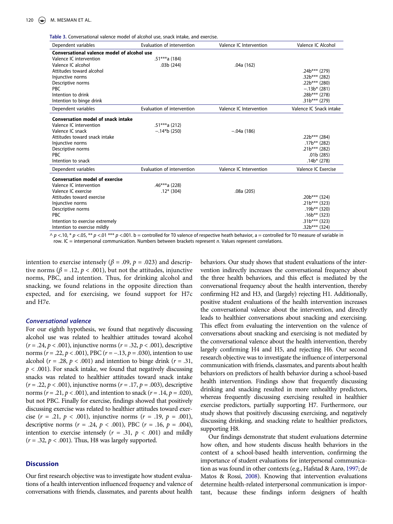<span id="page-7-0"></span>**Table 3.** Conversational valence model of alcohol use, snack intake, and exercise.

| Dependent variables                         | Evaluation of intervention | Valence IC Intervention | Valence IC Alcohol      |  |  |  |  |  |
|---------------------------------------------|----------------------------|-------------------------|-------------------------|--|--|--|--|--|
| Conversational valence model of alcohol use |                            |                         |                         |  |  |  |  |  |
| Valence IC intervention                     | .51***a (184)              |                         |                         |  |  |  |  |  |
| Valence IC alcohol                          | .03b(244)                  | .04a(162)               |                         |  |  |  |  |  |
| Attitudes toward alcohol                    |                            |                         | .24b*** (279)           |  |  |  |  |  |
| Injunctive norms                            |                            |                         | $.32b***$ (282)         |  |  |  |  |  |
| Descriptive norms                           |                            |                         | .22b*** (280)           |  |  |  |  |  |
| <b>PBC</b>                                  |                            |                         | $-.13b*$ (281)          |  |  |  |  |  |
| Intention to drink                          |                            |                         | $.28b***$ (278)         |  |  |  |  |  |
| Intention to binge drink                    |                            |                         | $.31b***$ (279)         |  |  |  |  |  |
| Dependent variables                         | Evaluation of intervention | Valence IC Intervention | Valence IC Snack intake |  |  |  |  |  |
| <b>Conversation model of snack intake</b>   |                            |                         |                         |  |  |  |  |  |
| Valence IC intervention                     | $.51***a(212)$             |                         |                         |  |  |  |  |  |
| Valence IC snack                            | $-.14*b$ (250)             | $-.04a(186)$            |                         |  |  |  |  |  |
| Attitudes toward snack intake               |                            |                         | .22b*** (284)           |  |  |  |  |  |
| Injunctive norms                            |                            |                         | $.17b***$ (282)         |  |  |  |  |  |
| Descriptive norms                           |                            |                         | $.21b***$ (282)         |  |  |  |  |  |
| <b>PBC</b>                                  |                            |                         | .01b(285)               |  |  |  |  |  |
| Intention to snack                          |                            |                         | $.14b*$ (278)           |  |  |  |  |  |
| Dependent variables                         | Evaluation of intervention | Valence IC Intervention | Valence IC Exercise     |  |  |  |  |  |
| <b>Conversation model of exercise</b>       |                            |                         |                         |  |  |  |  |  |
| Valence IC intervention                     | .46***a (228)              |                         |                         |  |  |  |  |  |
| Valence IC exercise                         | $.12*(304)$                | .08a(205)               |                         |  |  |  |  |  |
| Attitudes toward exercise                   |                            |                         | .20b*** (324)           |  |  |  |  |  |
| Injunctive norms                            |                            |                         | .21b*** (323)           |  |  |  |  |  |
| Descriptive norms                           |                            |                         | $.19b***$ (320)         |  |  |  |  |  |
| <b>PBC</b>                                  |                            |                         | $.16b***$ (323)         |  |  |  |  |  |
| Intention to exercise extremely             |                            |                         | $.31b***$ (323)         |  |  |  |  |  |
| Intention to exercise mildly                |                            |                         | $.32b***$ (324)         |  |  |  |  |  |

^ *p* <.10, \* *p* <.05, \*\* *p* <.01 \*\*\* *p* <.001. b = controlled for T0 valence of respective heath behavior, a = controlled for T0 measure of variable in row. IC = interpersonal communication. Numbers between brackets represent *n*. Values represent correlations.

intention to exercise intensely ( $\beta$  = .09,  $p$  = .023) and descriptive norms ( $\beta$  = .12,  $p$  < .001), but not the attitudes, injunctive norms, PBC, and intention. Thus, for drinking alcohol and snacking, we found relations in the opposite direction than expected, and for exercising, we found support for H7c and H7e.

#### *Conversational valence*

For our eighth hypothesis, we found that negatively discussing alcohol use was related to healthier attitudes toward alcohol (*r* = .24, *p* < .001), injunctive norms (*r* = .32, *p* < .001), descriptive norms (*r* = .22, *p* < .001), PBC (*r* = −.13, *p* = .030), intention to use alcohol ( $r = .28$ ,  $p < .001$ ) and intention to binge drink ( $r = .31$ ,  $p < .001$ ). For snack intake, we found that negatively discussing snacks was related to healthier attitudes toward snack intake (*r* = .22, *p* < .001), injunctive norms (*r* = .17, *p* = .003), descriptive norms (*r* = .21, *p* < .001), and intention to snack (*r* = .14, *p* = .020), but not PBC. Finally for exercise, findings showed that positively discussing exercise was related to healthier attitudes toward exercise ( $r = .21$ ,  $p < .001$ ), injunctive norms ( $r = .19$ ,  $p = .001$ ), descriptive norms (*r* = .24, *p* < .001), PBC (*r* = .16, *p* = .004), intention to exercise intensely  $(r = .31, p < .001)$  and mildly  $(r = .32, p < .001)$ . Thus, H8 was largely supported.

## **Discussion**

Our first research objective was to investigate how student evaluations of a health intervention influenced frequency and valence of conversations with friends, classmates, and parents about health

behaviors. Our study shows that student evaluations of the intervention indirectly increases the conversational frequency about the three health behaviors, and this effect is mediated by the conversational frequency about the health intervention, thereby confirming H2 and H3, and (largely) rejecting H1. Additionally, positive student evaluations of the health intervention increases the conversational valence about the intervention, and directly leads to healthier conversations about snacking and exercising. This effect from evaluating the intervention on the valence of conversations about snacking and exercising is not mediated by the conversational valence about the health intervention, thereby largely confirming H4 and H5, and rejecting H6. Our second research objective was to investigate the influence of interpersonal communication with friends, classmates, and parents about health behaviors on predictors of health behavior during a school-based health intervention. Findings show that frequently discussing drinking and snacking resulted in more unhealthy predictors, whereas frequently discussing exercising resulted in healthier exercise predictors, partially supporting H7. Furthermore, our study shows that positively discussing exercising, and negatively discussing drinking, and snacking relate to healthier predictors, supporting H8.

Our findings demonstrate that student evaluations determine how often, and how students discuss health behaviors in the context of a school-based health intervention, confirming the importance of student evaluations for interpersonal communication as was found in other contexts (e.g., Hafstad & Aarø, [1997;](#page-9-3) de Matos & Rossi, [2008](#page-9-6)). Knowing that intervention evaluations determine health-related interpersonal communication is important, because these findings inform designers of health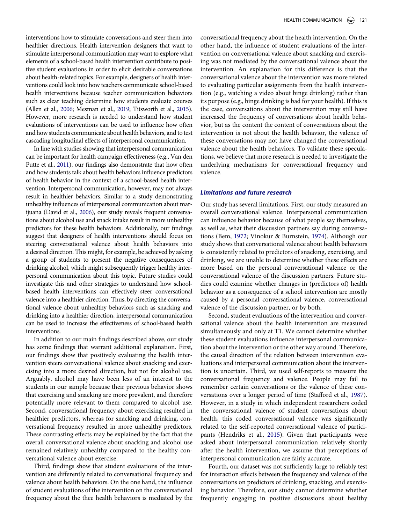interventions how to stimulate conversations and steer them into healthier directions. Health intervention designers that want to stimulate interpersonal communication may want to explore what elements of a school-based health intervention contribute to positive student evaluations in order to elicit desirable conversations about health-related topics. For example, designers of health interventions could look into how teachers communicate school-based health interventions because teacher communication behaviors such as clear teaching determine how students evaluate courses (Allen et al., [2006;](#page-9-19) Mesman et al., [2019](#page-10-30); Titsworth et al., [2015](#page-10-31)). However, more research is needed to understand how student evaluations of interventions can be used to influence how often and how students communicate about health behaviors, and to test cascading longitudinal effects of interpersonal communication.

<span id="page-8-1"></span><span id="page-8-0"></span>In line with studies showing that interpersonal communication can be important for health campaign effectiveness (e.g., Van den Putte et al., [2011\)](#page-11-0), our findings also demonstrate that how often and how students talk about health behaviors influence predictors of health behavior in the context of a school-based health intervention. Interpersonal communication, however, may not always result in healthier behaviors. Similar to a study demonstrating unhealthy influences of interpersonal communication about marijuana (David et al., [2006\)](#page-9-20), our study reveals frequent conversations about alcohol use and snack intake result in more unhealthy predictors for these health behaviors. Additionally, our findings suggest that designers of health interventions should focus on steering conversational valence about health behaviors into a desired direction. This might, for example, be achieved by asking a group of students to present the negative consequences of drinking alcohol, which might subsequently trigger healthy interpersonal communication about this topic. Future studies could investigate this and other strategies to understand how schoolbased health interventions can effectively steer conversational valence into a healthier direction. Thus, by directing the conversational valence about unhealthy behaviors such as snacking and drinking into a healthier direction, interpersonal communication can be used to increase the effectiveness of school-based health interventions.

In addition to our main findings described above, our study has some findings that warrant additional explanation. First, our findings show that positively evaluating the health intervention steers conversational valence about snacking and exercising into a more desired direction, but not for alcohol use. Arguably, alcohol may have been less of an interest to the students in our sample because their previous behavior shows that exercising and snacking are more prevalent, and therefore potentially more relevant to them compared to alcohol use. Second, conversational frequency about exercising resulted in healthier predictors, whereas for snacking and drinking, conversational frequency resulted in more unhealthy predictors. These contrasting effects may be explained by the fact that the overall conversational valence about snacking and alcohol use remained relatively unhealthy compared to the healthy conversational valence about exercise.

Third, findings show that student evaluations of the intervention are differently related to conversational frequency and valence about health behaviors. On the one hand, the influence of student evaluations of the intervention on the conversational frequency about the thee health behaviors is mediated by the

conversational frequency about the health intervention. On the other hand, the influence of student evaluations of the intervention on conversational valence about snacking and exercising was not mediated by the conversational valence about the intervention. An explanation for this difference is that the conversational valence about the intervention was more related to evaluating particular assignments from the health intervention (e.g., watching a video about binge drinking) rather than its purpose (e.g., binge drinking is bad for your health). If this is the case, conversations about the intervention may still have increased the frequency of conversations about health behavior, but as the content the content of conversations about the intervention is not about the health behavior, the valence of these conversations may not have changed the conversational valence about the health behaviors. To validate these speculations, we believe that more research is needed to investigate the underlying mechanisms for conversational frequency and valence.

## *Limitations and future research*

Our study has several limitations. First, our study measured an overall conversational valence. Interpersonal communication can influence behavior because of what people say themselves, as well as, what their discussion partners say during conversations (Bem, [1972;](#page-9-14) Vinokur & Burnstein, [1974](#page-11-2)). Although our study shows that conversational valence about health behaviors is consistently related to predictors of snacking, exercising, and drinking, we are unable to determine whether these effects are more based on the personal conversational valence or the conversational valence of the discussion partners. Future studies could examine whether changes in (predictors of) health behavior as a consequence of a school intervention are mostly caused by a personal conversational valence, conversational valence of the discussion partner, or by both.

Second, student evaluations of the intervention and conversational valence about the health intervention are measured simultaneously and only at T1. We cannot determine whether these student evaluations influence interpersonal communication about the intervention or the other way around. Therefore, the causal direction of the relation between intervention evaluations and interpersonal communication about the intervention is uncertain. Third, we used self-reports to measure the conversational frequency and valence. People may fail to remember certain conversations or the valence of these conversations over a longer period of time (Stafford et al., [1987](#page-10-32)). However, in a study in which independent researchers coded the conversational valence of student conversations about health, this coded conversational valence was significantly related to the self-reported conversational valence of participants (Hendriks et al., [2015](#page-10-33)). Given that participants were asked about interpersonal communication relatively shortly after the health intervention, we assume that perceptions of interpersonal communication are fairly accurate.

<span id="page-8-3"></span><span id="page-8-2"></span>Fourth, our dataset was not sufficiently large to reliably test for interaction effects between the frequency and valence of the conversations on predictors of drinking, snacking, and exercising behavior. Therefore, our study cannot determine whether frequently engaging in positive discussions about healthy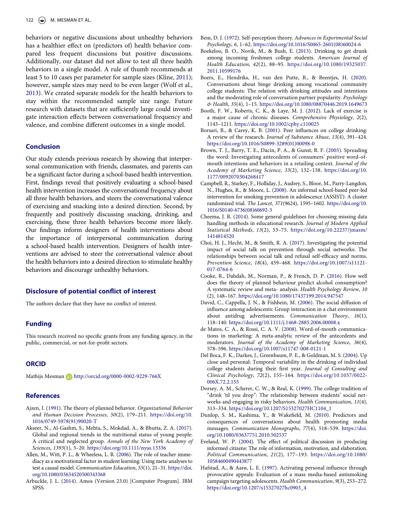<span id="page-9-22"></span><span id="page-9-21"></span>behaviors or negative discussions about unhealthy behaviors has a healthier effect on (predictors of) health behavior compared less frequent discussions but positive discussions. Additionally, our dataset did not allow to test all three health behaviors in a single model. A rule of thumb recommends at least 5 to 10 cases per parameter for sample sizes (Kline, [2011](#page-10-34)); however, sample sizes may need to be even larger (Wolf et al., [2013](#page-11-3)). We created separate models for the health behaviors to stay within the recommended sample size range. Future research with datasets that are sufficiently large could investigate interaction effects between conversational frequency and valence, and combine different outcomes in a single model.

#### **Conclusion**

Our study extends previous research by showing that interpersonal communication with friends, classmates, and parents can be a significant factor during a school-based health intervention. First, findings reveal that positively evaluating a school-based health intervention increases the conversational frequency about all three health behaviors, and steers the conversational valence of exercising and snacking into a desired direction. Second, by frequently and positively discussing snacking, drinking, and exercising, these three health behaviors become more likely. Our findings inform designers of health interventions about the importance of interpersonal communication during a school-based health intervention. Designers of health interventions are advised to steer the conversational valence about the health behaviors into a desired direction to stimulate healthy behaviors and discourage unhealthy behaviors.

## **Disclosure of potential conflict of interest**

The authors declare that they have no conflict of interest.

## **Funding**

This research received no specific grants from any funding agency, in the public, commercial, or not-for-profit sectors.

## **ORCID**

Mathijs Mesman D http://orcid.org/0000-0002-9229-766X

#### **References**

- <span id="page-9-10"></span>Ajzen, I. ([1991\)](#page-3-0). The theory of planned behavior. *Organizational Behavior and Human Decision Processes*, *50*(2), 179–211. [https://doi.org/10.](https://doi.org/10.1016/0749-5978(91)90020-T) [1016/0749-5978\(91\)90020-T](https://doi.org/10.1016/0749-5978(91)90020-T)
- <span id="page-9-0"></span>Akseer, N., Al-Gashm, S., Mehta, S., Mokdad, A., & Bhutta, Z. A. ([2017](#page-1-1)). Global and regional trends in the nutritional status of young people: A critical and neglected group. *Annals of the New York Academy of Sciences*, *1393*(1), 3–20. <https://doi.org/10.1111/nyas.13336>
- <span id="page-9-19"></span>Allen, M., Witt, P. L., & Wheeless, L. R. ([2006\)](#page-8-0). The role of teacher immediacy as a motivational factor in student learning: Using meta-analyses to test a causal model. *Communication Education*, *55*(1), 21–31. [https://doi.](https://doi.org/10.1080/03634520500343368)  [org/10.1080/03634520500343368](https://doi.org/10.1080/03634520500343368)
- <span id="page-9-17"></span>Arbuckle, J. L. ([2014\)](#page-5-2). Amos (Version 23.0) [Computer Program]. IBM SPSS.
- <span id="page-9-14"></span>Bem, D. J. [\(1972\)](#page-3-1). Self-perception theory. *Advances in Experimental Social Psychology*, *6*, 1–62. [https://doi.org/10.1016/S0065-2601\(08\)60024-6](https://doi.org/10.1016/S0065-2601(08)60024-6)
- <span id="page-9-1"></span>Boekeloo, B. O., Novik, M., & Bush, E. [\(2013\)](#page-1-2). Drinking to get drunk among incoming freshmen college students. *American Journal of Health Education*, *42*(2), 88–95. [https://doi.org/10.1080/19325037.](https://doi.org/10.1080/19325037.2011.10599176) [2011.10599176](https://doi.org/10.1080/19325037.2011.10599176)
- <span id="page-9-4"></span>Boers, E., Hendriks, H., van den Putte, B., & Beentjes, H. ([2020](#page-1-3)). Conversations about binge drinking among vocational community college students: The relation with drinking attitudes and intentions and the moderating role of conversation partner popularity. *Psychology & Health*, *35*(4), 1–15. <https://doi.org/10.1080/08870446.2019.1649673>
- <span id="page-9-2"></span>Booth, F. W., Roberts, C. K., & Laye, M. J. ([2012](#page-1-4)). Lack of exercise is a major cause of chronic diseases. *Comprehensive Physiology*, *2*(2), 1143–1211. <https://doi.org/10.1002/cphy.c110025>
- <span id="page-9-11"></span>Borsari, B., & Carey, K. B. ([2001](#page-3-2)). Peer influences on college drinking: A review of the research. *Journal of Substance Abuse*, *13*(4), 391–424. [https://doi.org/10.1016/S0899-3289\(01\)00098-0](https://doi.org/10.1016/S0899-3289(01)00098-0)
- <span id="page-9-5"></span>Brown, T. J., Barry, T. E., Dacin, P. A., & Gunst, R. F. ([2005\)](#page-2-1). Spreading the word: Investigating antecedents of consumers' positive word-ofmouth intentions and behaviors in a retailing context. *Journal of the Academy of Marketing Science*, *33*(2), 132–138. [https://doi.org/10.](https://doi.org/10.1177/0092070304268417) [1177/0092070304268417](https://doi.org/10.1177/0092070304268417)
- <span id="page-9-9"></span>Campbell, R., Starkey, F., Holliday, J., Audrey, S., Bloor, M., Parry-Langdon, N., Hughes, R., & Moore, L. [\(2008](#page-3-3)). An informal school-based peer-led intervention for smoking prevention in adolescence (ASSIST): A cluster randomized trial. *The Lancet*, *371*(9624), 1595–1602. [https://doi.org/10.](https://doi.org/10.1016/S0140-6736(08)60692-3)  [1016/S0140-6736\(08\)60692-3](https://doi.org/10.1016/S0140-6736(08)60692-3)
- <span id="page-9-16"></span>Cheema, J. R. ([2014\)](#page-5-3). Some general guidelines for choosing missing data handling methods in educational research. *Journal of Modern Applied Statistical Methods*, *13*(2), 53–75. [https://doi.org/10.22237/jmasm/](https://doi.org/10.22237/jmasm/1414814520) [1414814520](https://doi.org/10.22237/jmasm/1414814520)
- <span id="page-9-7"></span>Choi, H. J., Hecht, M., & Smith, R. A. ([2017\)](#page-2-2). Investigating the potential impact of social talk on prevention through social networks: The relationships between social talk and refusal self-efficacy and norms. *Prevention Science*, *18*(4), 459–468. [https://doi.org/10.1007/s11121-](https://doi.org/10.1007/s11121-017-0764-6) [017-0764-6](https://doi.org/10.1007/s11121-017-0764-6)
- <span id="page-9-12"></span>Cooke, R., Dahdah, M., Norman, P., & French, D. P. [\(2016\)](#page-3-4). How well does the theory of planned behaviour predict alcohol consumption? A systematic review and meta- analysis. *Health Psychology Review*, *10*  (2), 148–167. <https://doi.org/10.1080/17437199.2014.947547>
- <span id="page-9-20"></span>David, C., Cappella, J. N., & Fishbein, M. [\(2006](#page-8-1)). The social diffusion of influence among adolescents: Group interaction in a chat environment about antidrug advertisements. *Communication Theory*, *16*(1), 118–140. <https://doi.org/10.1111/j.1468-2885.2006.00008.x>
- <span id="page-9-6"></span>de Matos, C. A., & Rossi, C. A. V. ([2008\)](#page-2-1). Word-of-mouth communications in marketing: A meta-analytic review of the antecedents and moderators. *Journal of the Academy of Marketing Science*, *36*(4), 578–596. <https://doi.org/10.1007/s11747-008-0121-1>
- <span id="page-9-18"></span>Del Boca, F. K., Darkes, J., Greenbaum, P. E., & Goldman, M. S. [\(2004\)](#page-5-4). Up close and personal: Temporal variability in the drinking of individual college students during their first year. *Journal of Consulting and Clinical Psychology*, *72*(2), 155–164. [https://doi.org/10.1037/0022-](https://doi.org/10.1037/0022-006X.72.2.155) [006X.72.2.155](https://doi.org/10.1037/0022-006X.72.2.155)
- <span id="page-9-13"></span>Dorsey, A. M., Scherer, C. W., & Real, K. ([1999\)](#page-3-5). The college tradition of "drink 'til you drop": The relationship between students' social networks and engaging in risky behaviors. *Health Communication*, *11*(4), 313–334. [https://doi.org/10.1207/S15327027HC1104\\_1](https://doi.org/10.1207/S15327027HC1104_1)
- <span id="page-9-15"></span>Dunlop, S. M., Kashima, Y., & Wakefield, M. ([2010](#page-3-6)). Predictors and consequences of conversations about health promoting media messages. *Communication Monographs*, *77*(4), 518–539. [https://doi.](https://doi.org/10.1080/03637751.2010.502537) [org/10.1080/03637751.2010.502537](https://doi.org/10.1080/03637751.2010.502537)
- <span id="page-9-8"></span>Eveland, W. P. ([2004\)](#page-2-3). The effect of political discussion in producing informed citizens: The role of information, motivation, and elaboration. *Political Communication*, *21*(2), 177–193. [https://doi.org/10.1080/](https://doi.org/10.1080/10584600490443877) [10584600490443877](https://doi.org/10.1080/10584600490443877)
- <span id="page-9-3"></span>Hafstad, A., & Aarø, L. E. [\(1997](#page-1-5)). Activating personal influence through provocative appeals: Evaluation of a mass media-based antismoking campaign targeting adolescents. *Health Communication*, *9*(3), 253–272. [https://doi.org/10.1207/s15327027hc0903\\_4](https://doi.org/10.1207/s15327027hc0903_4)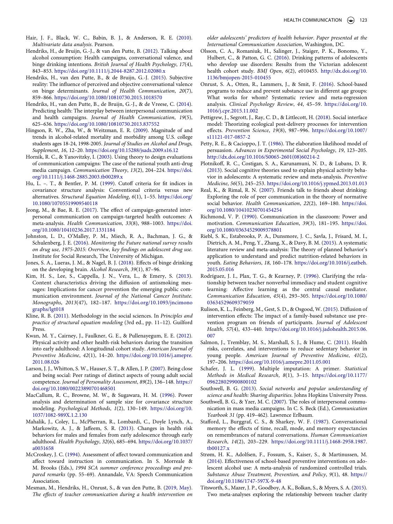- <span id="page-10-28"></span>Hair, J. F., Black, W. C., Babin, B. J., & Anderson, R. E. ([2010](#page-5-5)). *Multivariate data analysis*. Pearson.
- <span id="page-10-23"></span>Hendriks, H., de Bruijn, G.-J., & van den Putte, B. [\(2012](#page-3-7)). Talking about alcohol consumption: Health campaigns, conversational valence, and binge drinking intentions. *British Journal of Health Psychology*, *17*(4), 843–853. <https://doi.org/10.1111/j.2044-8287.2012.02080.x>
- <span id="page-10-33"></span>Hendriks, H., van den Putte, B., & de Bruijn, G.-J. [\(2015\)](#page-8-2). Subjective reality: The influence of perceived and objective conversational valence on binge determinants. *Journal of Health Communication*, *20*(7), 859–866. <https://doi.org/10.1080/10810730.2015.1018570>
- <span id="page-10-22"></span>Hendriks, H., van den Putte, B., de Bruijn, G.-J., & de Vreese, C. ([2014](#page-3-8)). Predicting health: The interplay between interpersonal communication and health campaigns. *Journal of Health Communication*, *19*(5), 625–636. <https://doi.org/10.1080/10810730.2013.837552>
- <span id="page-10-4"></span>Hingson, R. W., Zha, W., & Weitzman, E. R. [\(2009](#page-1-2)). Magnitude of and trends in alcohol-related mortality and morbidity among U.S. college students ages 18-24, 1998-2005. *Journal of Studies on Alcohol and Drugs, Supplement*, *16*, 12–20. <https://doi.org/10.15288/jsads.2009.s16.12>
- <span id="page-10-9"></span>Hornik, R. C., & Yanovitzky, I. [\(2003\)](#page-1-6). Using theory to design evaluations of communication campaigns: The case of the national youth anti-drug media campaign. *Communication Theory*, *13*(2), 204–224. [https://doi.](https://doi.org/10.1111/j.1468-2885.2003.tb00289.x)  [org/10.1111/j.1468-2885.2003.tb00289.x](https://doi.org/10.1111/j.1468-2885.2003.tb00289.x)
- <span id="page-10-27"></span>Hu, L. –. T., & Bentler, P. M. [\(1999\)](#page-5-6). Cutoff criteria for fit indices in covariance structure analysis: Conventional criteria versus new alternatives. *Structural Equation Modeling*, *6*(1), 1–55. [https://doi.org/](https://doi.org/10.1080/10705519909540118) [10.1080/10705519909540118](https://doi.org/10.1080/10705519909540118)
- <span id="page-10-18"></span>Jeong, M., & Bae, R. E. [\(2017](#page-3-9)). The effect of campaign-generated interpersonal communication on campaign-targeted health outcomes: A meta-analysis. *Health Communication*, *33*(8), 988–1003. [https://doi.](https://doi.org/10.1080/10410236.2017.1331184) [org/10.1080/10410236.2017.1331184](https://doi.org/10.1080/10410236.2017.1331184)
- <span id="page-10-0"></span>Johnston, L. D., O'Malley, P. M., Miech, R. A., Bachman, J. G., & Schulenberg, J. E. [\(2016](#page-1-7)). *Monitoring the Future national survey results on drug use, 1975-2015: Overview, key findings on adolescent drug use*. Institute for Social Research, The University of Michigan.
- <span id="page-10-6"></span>Jones, S. A., Lueras, J. M., & Nagel, B. J. [\(2018\)](#page-1-8). Effects of binge drinking on the developing brain. *Alcohol Research*, *39*(1), 87–96.
- <span id="page-10-11"></span>Kim, H. S., Lee, S., Cappella, J. N., Vera, L., & Emery, S. [\(2013](#page-1-5)). Content characteristics driving the diffusion of antismoking messages: Implications for cancer prevention the emerging public communication environment. *Journal of the National Cancer Institute. Monographs*, *2013*(47), 182–187. [https://doi.org/10.1093/jncimono](https://doi.org/10.1093/jncimonographs/lgt018) [graphs/lgt018](https://doi.org/10.1093/jncimonographs/lgt018)
- <span id="page-10-34"></span>Kline, R. B. [\(2011](#page-9-21)). Methodology in the social sciences. In *Principles and practice of structural equation modeling* (3rd ed., pp. 11–12). Guilford Press.
- <span id="page-10-2"></span>Kwan, M. Y., Cairney, J., Faulkner, G. E., & Pullenayegum, E. E. ([2012](#page-1-9)). Physical activity and other health-risk behaviors during the transition into early adulthood: A longitudinal cohort study. *American Journal of Preventive Medicine*, *42*(1), 14–20. [https://doi.org/10.1016/j.amepre.](https://doi.org/10.1016/j.amepre.2011.08.026) [2011.08.026](https://doi.org/10.1016/j.amepre.2011.08.026)
- <span id="page-10-14"></span>Larson, J. J., Whitton, S. W., Hauser, S. T., & Allen, J. P. [\(2007](#page-2-4)). Being close and being social: Peer ratings of distinct aspects of young adult social competence. *Journal of Personality Assessment*, *89*(2), 136–148. [https://](https://doi.org/10.1080/00223890701468501) [doi.org/10.1080/00223890701468501](https://doi.org/10.1080/00223890701468501)
- <span id="page-10-29"></span>MacCallum, R. C., Browne, M. W., & Sugawara, H. M. ([1996\)](#page-5-5). Power analysis and determination of sample size for covariance structure modeling. *Psychological Methods*, *1*(2), 130–149. [https://doi.org/10.](https://doi.org/10.1037/1082-989X.1.2.130) [1037/1082-989X.1.2.130](https://doi.org/10.1037/1082-989X.1.2.130)
- <span id="page-10-3"></span>Mahalik, J., Coley, L., McPherran, R., Lombardi, C., Doyle Lynch, A., Markowitz, A. J., & Jaffeem, S. R. [\(2013\)](#page-1-9). Changes in health risk behaviors for males and females from early adolescence through early adulthood. *Health Psychology*, *32*(6), 685–694. [https://doi.org/10.1037/](https://doi.org/10.1037/a0031658) [a0031658](https://doi.org/10.1037/a0031658)
- <span id="page-10-24"></span>McCroskey, J. C. [\(1994\)](#page-4-0). Assessment of affect toward communication and affect toward instruction in communication. In S. Morreale & M. Brooks (Eds.), *1994 SCA summer conference proceedings and prepared remarks* (pp. 55–69). Annandale, VA: Speech Communication Association.
- <span id="page-10-30"></span>Mesman, M., Hendriks, H., Onrust, S., & van den Putte, B. [\(2019, May](#page-8-0)). *The effects of teacher communication during a health intervention on*

*older adolescents' predictors of health behavior*. *Paper presented at the International Communication Association*, Washington, DC.

- <span id="page-10-5"></span>Olsson, C. A., Romaniuk, H., Salinger, J., Staiger, P. K., Bonomo, Y., Hulbert, C., & Patton, G. C. [\(2016\)](#page-1-10). Drinking patterns of adolescents who develop use disorders: Results from the Victorian adolescent health cohort study. *BMJ Open*, *6*(2), e010455. [http://dx.doi.org/10.](http://dx.doi.org/10.1136/bmjopen-2015-010455) [1136/bmjopen-2015-010455](http://dx.doi.org/10.1136/bmjopen-2015-010455)
- <span id="page-10-7"></span>Onrust, S. A., Otten, R., Lammers, J., & Smit, F. ([2016](#page-1-11)). School-based programs to reduce and prevent substance use in different age groups: What works for whom? Systematic review and meta-regression analysis. *Clinical Psychology Review*, *44*, 45–59. [https://doi.org/10.](https://doi.org/10.1016/j.cpr.2015.11.002) [1016/j.cpr.2015.11.002](https://doi.org/10.1016/j.cpr.2015.11.002)
- <span id="page-10-16"></span>Pettigrew, J., Segrott, J., Ray, C. D., & Littlecott, H. ([2018](#page-2-5)). Social interface model: Theorizing ecological post-delivery processes for intervention effects. *Prevention Science*, *19*(8), 987–996. [https://doi.org/10.1007/](https://doi.org/10.1007/s11121-017-0857-2) [s11121-017-0857-2](https://doi.org/10.1007/s11121-017-0857-2)
- <span id="page-10-15"></span>Petty, R. E., & Cacioppo, J. T. [\(1986\)](#page-2-6). The elaboration likelihood model of persuasion. *Advances in Experimental Social Psychology*, *19*, 123–205. [http://dx.doi.org/10.1016/S0065-2601\(08\)60214-2](http://dx.doi.org/10.1016/S0065-2601(08)60214-2)
- <span id="page-10-20"></span>Plotnikoff, R. C., Costigan, S. A., Karunamuni, N. D., & Lubans, D. R. ([2013](#page-3-4)). Social cognitive theories used to explain physical activity behavior in adolescents: A systematic review and meta-analysis. *Preventive Medicine*, *56*(5), 245–253. <https://doi.org/10.1016/j.ypmed.2013.01.013>
- <span id="page-10-12"></span>Real, K., & Rimal, R. N. ([2007](#page-1-3)). Friends talk to friends about drinking: Exploring the role of peer communication in the theory of normative social behavior. *Health Communication*, *22*(2), 169–180. [https://doi.](https://doi.org/10.1080/10410230701454254) [org/10.1080/10410230701454254](https://doi.org/10.1080/10410230701454254)
- <span id="page-10-25"></span>Richmond, V. P. ([1990\)](#page-4-1). Communication in the classroom: Power and motivation. *Communication Education*, *39*(3), 181–195. [https://doi.](https://doi.org/10.1080/03634529009378801) [org/10.1080/03634529009378801](https://doi.org/10.1080/03634529009378801)
- <span id="page-10-21"></span>Riebl, S. K., Estabrooks, P. A., Dunsmore, J. C., Savla, J., Frisard, M. I., Dietrich, A. M., Peng, Y., Zhang, X., & Davy, B. M. ([2015](#page-3-4)). A systematic literature review and meta-analysis: The theory of planned behavior's application to understand and predict nutrition-related behaviors in youth. *Eating Behaviors*, *18*, 160–178. [https://doi.org/10.1016/j.eatbeh.](https://doi.org/10.1016/j.eatbeh.2015.05.016) [2015.05.016](https://doi.org/10.1016/j.eatbeh.2015.05.016)
- <span id="page-10-13"></span>Rodríguez, J. I., Plax, T. G., & Kearney, P. ([1996\)](#page-2-7). Clarifying the relationship between teacher nonverbal immediacy and student cognitive learning: Affective learning as the central causal mediator. *Communication Education*, *45*(4), 293–305. [https://doi.org/10.1080/](https://doi.org/10.1080/03634529609379059) [03634529609379059](https://doi.org/10.1080/03634529609379059)
- <span id="page-10-19"></span>Rulison, K. L., Feinberg, M., Gest, S. D., & Osgood, W. [\(2015\)](#page-3-10). Diffusion of intervention effects: The impact of a family-based substance use prevention program on friends of participants. *Journal of Adolescent Health*, *57*(4), 433–440. [https://doi.org/10.1016/j.jadohealth.2015.06.](https://doi.org/10.1016/j.jadohealth.2015.06.007) [007](https://doi.org/10.1016/j.jadohealth.2015.06.007)
- <span id="page-10-1"></span>Salmon, J., Tremblay, M. S., Marshall, S. J., & Hume, C. ([2011\)](#page-1-12). Health risks, correlates, and interventions to reduce sedentary behavior in young people. *American Journal of Preventive Medicine*, *41*(2), 197–206. <https://doi.org/10.1016/j.amepre.2011.05.001>
- <span id="page-10-26"></span>Schafer, J. L. [\(1999](#page-5-7)). Multiple imputation: A primer. *Statistical Methods in Medical Research*, *8*(1), 3–15. [https://doi.org/10.1177/](https://doi.org/10.1177/096228029900800102) [096228029900800102](https://doi.org/10.1177/096228029900800102)
- <span id="page-10-17"></span>Southwell, B. G. ([2013\)](#page-3-11). *Social networks and popular understanding of science and health: Sharing disparities*. Johns Hopkins University Press.
- <span id="page-10-10"></span>Southwell, B. G., & Yzer, M. C. ([2007\)](#page-1-13). The roles of interpersonal communication in mass media campaigns. In C. S. Beck (Ed.), *Communication Yearbook 31* (pp. 419–462). Lawrence Erlbaum.
- <span id="page-10-32"></span>Stafford, L., Burggraf, C. S., & Sharkey, W. F. ([1987\)](#page-8-3). Conversational memory the effects of time, recall, mode, and memory expectancies on remembrances of natural conversations. *Human Communication Research*, *14*(2), 203–229. [https://doi.org/10.1111/j.1468-2958.1987.](https://doi.org/10.1111/j.1468-2958.1987.tb00127.x) [tb00127.x](https://doi.org/10.1111/j.1468-2958.1987.tb00127.x)
- <span id="page-10-8"></span>Strøm, H. K., Adolfsen, F., Fossum, S., Kaiser, S., & Martinussen, M. ([2014](#page-1-11)). Effectiveness of school-based preventive interventions on adolescent alcohol use: A meta-analysis of randomized controlled trials. *Substance Abuse Treatment, Prevention, and Policy*, *9*(1), 48. [https://](https://doi.org/10.1186/1747-597X-9-48)  [doi.org/10.1186/1747-597X-9-48](https://doi.org/10.1186/1747-597X-9-48)
- <span id="page-10-31"></span>Titsworth, S., Mazer, J. P., Goodboy, A. K., Bolkan, S., & Myers, S. A. [\(2015](#page-8-0)). Two meta-analyses exploring the relationship between teacher clarity